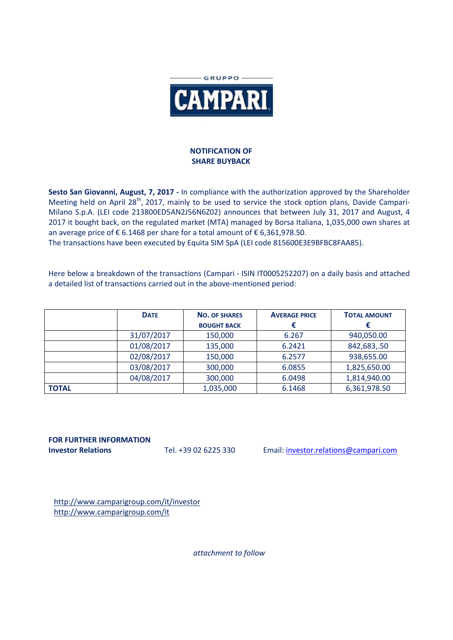

## **NOTIFICATION OF SHARE BUYBACK**

**Sesto San Giovanni, August, 7, 2017 -** In compliance with the authorization approved by the Shareholder Meeting held on April 28<sup>th</sup>, 2017, mainly to be used to service the stock option plans, Davide Campari-Milano S.p.A. (LEI code 213800ED5AN2J56N6Z02) announces that between July 31, 2017 and August, 4 2017 it bought back, on the regulated market (MTA) managed by Borsa Italiana, 1,035,000 own shares at an average price of € 6.1468 per share for a total amount of € 6,361,978.50.

The transactions have been executed by Equita SIM SpA (LEI code 815600E3E9BFBC8FAA85).

Here below a breakdown of the transactions (Campari - ISIN IT0005252207) on a daily basis and attached a detailed list of transactions carried out in the above-mentioned period:

|              | <b>DATE</b> | <b>NO. OF SHARES</b> | <b>AVERAGE PRICE</b> | <b>TOTAL AMOUNT</b> |
|--------------|-------------|----------------------|----------------------|---------------------|
|              |             | <b>BOUGHT BACK</b>   |                      |                     |
|              | 31/07/2017  | 150,000              | 6.267                | 940,050.00          |
|              | 01/08/2017  | 135,000              | 6.2421               | 842,683,.50         |
|              | 02/08/2017  | 150,000              | 6.2577               | 938,655.00          |
|              | 03/08/2017  | 300,000              | 6.0855               | 1,825,650.00        |
|              | 04/08/2017  | 300,000              | 6.0498               | 1,814,940.00        |
| <b>TOTAL</b> |             | 1,035,000            | 6.1468               | 6,361,978.50        |

**FOR FURTHER INFORMATION**

**Investor Relations** Tel. +39 02 6225 330 Email: investor.relations@campari.com

http://www.camparigroup.com/it/investor http://www.camparigroup.com/it

*attachment to follow*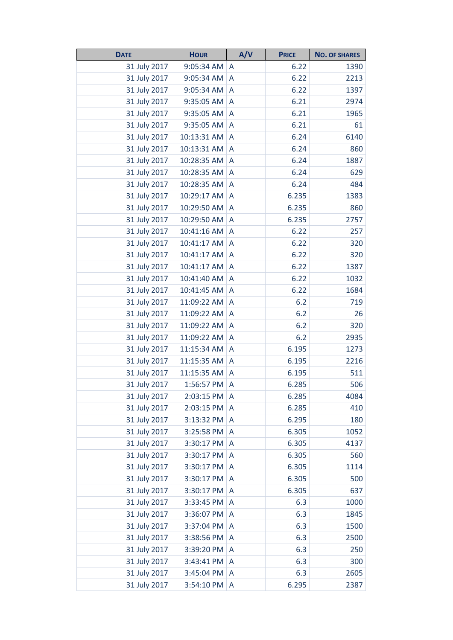| <b>DATE</b>  | <b>HOUR</b> | A/V          | <b>PRICE</b> | <b>NO. OF SHARES</b> |
|--------------|-------------|--------------|--------------|----------------------|
| 31 July 2017 | 9:05:34 AM  | A            | 6.22         | 1390                 |
| 31 July 2017 | 9:05:34 AM  | A            | 6.22         | 2213                 |
| 31 July 2017 | 9:05:34 AM  | A            | 6.22         | 1397                 |
| 31 July 2017 | 9:35:05 AM  | A            | 6.21         | 2974                 |
| 31 July 2017 | 9:35:05 AM  | A            | 6.21         | 1965                 |
| 31 July 2017 | 9:35:05 AM  | A            | 6.21         | 61                   |
| 31 July 2017 | 10:13:31 AM | A            | 6.24         | 6140                 |
| 31 July 2017 | 10:13:31 AM | A            | 6.24         | 860                  |
| 31 July 2017 | 10:28:35 AM | A            | 6.24         | 1887                 |
| 31 July 2017 | 10:28:35 AM | A            | 6.24         | 629                  |
| 31 July 2017 | 10:28:35 AM | A            | 6.24         | 484                  |
| 31 July 2017 | 10:29:17 AM | A            | 6.235        | 1383                 |
| 31 July 2017 | 10:29:50 AM | A            | 6.235        | 860                  |
| 31 July 2017 | 10:29:50 AM | A            | 6.235        | 2757                 |
| 31 July 2017 | 10:41:16 AM | A            | 6.22         | 257                  |
| 31 July 2017 | 10:41:17 AM | A            | 6.22         | 320                  |
| 31 July 2017 | 10:41:17 AM | A            | 6.22         | 320                  |
| 31 July 2017 | 10:41:17 AM | A            | 6.22         | 1387                 |
| 31 July 2017 | 10:41:40 AM | A            | 6.22         | 1032                 |
| 31 July 2017 | 10:41:45 AM | A            | 6.22         | 1684                 |
| 31 July 2017 | 11:09:22 AM | A            | 6.2          | 719                  |
| 31 July 2017 | 11:09:22 AM | A            | 6.2          | 26                   |
| 31 July 2017 | 11:09:22 AM | A            | 6.2          | 320                  |
| 31 July 2017 | 11:09:22 AM | A            | 6.2          | 2935                 |
| 31 July 2017 | 11:15:34 AM | A            | 6.195        | 1273                 |
| 31 July 2017 | 11:15:35 AM | A            | 6.195        | 2216                 |
| 31 July 2017 | 11:15:35 AM | A            | 6.195        | 511                  |
| 31 July 2017 | 1:56:57 PM  | A            | 6.285        | 506                  |
| 31 July 2017 | 2:03:15 PM  | A            | 6.285        | 4084                 |
| 31 July 2017 | 2:03:15 PM  | A            | 6.285        | 410                  |
| 31 July 2017 | 3:13:32 PM  | A            | 6.295        | 180                  |
| 31 July 2017 | 3:25:58 PM  | A            | 6.305        | 1052                 |
| 31 July 2017 | 3:30:17 PM  | A            | 6.305        | 4137                 |
| 31 July 2017 | 3:30:17 PM  | A            | 6.305        | 560                  |
| 31 July 2017 | 3:30:17 PM  | A            | 6.305        | 1114                 |
| 31 July 2017 | 3:30:17 PM  | A            | 6.305        | 500                  |
| 31 July 2017 | 3:30:17 PM  | A            | 6.305        | 637                  |
| 31 July 2017 | 3:33:45 PM  | A            | 6.3          | 1000                 |
| 31 July 2017 | 3:36:07 PM  | A            | 6.3          | 1845                 |
| 31 July 2017 | 3:37:04 PM  | A            | 6.3          | 1500                 |
| 31 July 2017 | 3:38:56 PM  | A            | 6.3          | 2500                 |
| 31 July 2017 | 3:39:20 PM  | $\mathsf{A}$ | 6.3          | 250                  |
| 31 July 2017 | 3:43:41 PM  | A            | 6.3          | 300                  |
| 31 July 2017 | 3:45:04 PM  | A            | 6.3          | 2605                 |
| 31 July 2017 | 3:54:10 PM  | A            | 6.295        | 2387                 |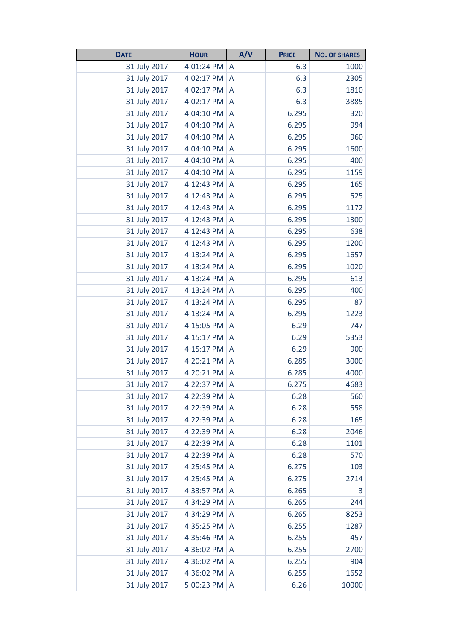| <b>DATE</b>  | <b>HOUR</b> | A/V            | <b>PRICE</b> | <b>NO. OF SHARES</b> |
|--------------|-------------|----------------|--------------|----------------------|
| 31 July 2017 | 4:01:24 PM  | A              | 6.3          | 1000                 |
| 31 July 2017 | 4:02:17 PM  | A              | 6.3          | 2305                 |
| 31 July 2017 | 4:02:17 PM  | A              | 6.3          | 1810                 |
| 31 July 2017 | 4:02:17 PM  | A              | 6.3          | 3885                 |
| 31 July 2017 | 4:04:10 PM  | A              | 6.295        | 320                  |
| 31 July 2017 | 4:04:10 PM  | A              | 6.295        | 994                  |
| 31 July 2017 | 4:04:10 PM  | A              | 6.295        | 960                  |
| 31 July 2017 | 4:04:10 PM  | A              | 6.295        | 1600                 |
| 31 July 2017 | 4:04:10 PM  | A              | 6.295        | 400                  |
| 31 July 2017 | 4:04:10 PM  | A              | 6.295        | 1159                 |
| 31 July 2017 | 4:12:43 PM  | A              | 6.295        | 165                  |
| 31 July 2017 | 4:12:43 PM  | A              | 6.295        | 525                  |
| 31 July 2017 | 4:12:43 PM  | A              | 6.295        | 1172                 |
| 31 July 2017 | 4:12:43 PM  | A              | 6.295        | 1300                 |
| 31 July 2017 | 4:12:43 PM  | A              | 6.295        | 638                  |
| 31 July 2017 | 4:12:43 PM  | A              | 6.295        | 1200                 |
| 31 July 2017 | 4:13:24 PM  | A              | 6.295        | 1657                 |
| 31 July 2017 | 4:13:24 PM  | A              | 6.295        | 1020                 |
| 31 July 2017 | 4:13:24 PM  | A              | 6.295        | 613                  |
| 31 July 2017 | 4:13:24 PM  | A              | 6.295        | 400                  |
| 31 July 2017 | 4:13:24 PM  | A              | 6.295        | 87                   |
| 31 July 2017 | 4:13:24 PM  | A              | 6.295        | 1223                 |
| 31 July 2017 | 4:15:05 PM  | $\overline{A}$ | 6.29         | 747                  |
| 31 July 2017 | 4:15:17 PM  | A              | 6.29         | 5353                 |
| 31 July 2017 | 4:15:17 PM  | A              | 6.29         | 900                  |
| 31 July 2017 | 4:20:21 PM  | A              | 6.285        | 3000                 |
| 31 July 2017 | 4:20:21 PM  | A              | 6.285        | 4000                 |
| 31 July 2017 | 4:22:37 PM  | A              | 6.275        | 4683                 |
| 31 July 2017 | 4:22:39 PM  | A              | 6.28         | 560                  |
| 31 July 2017 | 4:22:39 PM  | A              | 6.28         | 558                  |
| 31 July 2017 | 4:22:39 PM  | A              | 6.28         | 165                  |
| 31 July 2017 | 4:22:39 PM  | A              | 6.28         | 2046                 |
| 31 July 2017 | 4:22:39 PM  | A              | 6.28         | 1101                 |
| 31 July 2017 | 4:22:39 PM  | Α              | 6.28         | 570                  |
| 31 July 2017 | 4:25:45 PM  | A              | 6.275        | 103                  |
| 31 July 2017 | 4:25:45 PM  | A              | 6.275        | 2714                 |
| 31 July 2017 | 4:33:57 PM  | A              | 6.265        | 3                    |
| 31 July 2017 | 4:34:29 PM  | A              | 6.265        | 244                  |
| 31 July 2017 | 4:34:29 PM  | A              | 6.265        | 8253                 |
| 31 July 2017 | 4:35:25 PM  | A              | 6.255        | 1287                 |
| 31 July 2017 | 4:35:46 PM  | A              | 6.255        | 457                  |
| 31 July 2017 | 4:36:02 PM  | A              | 6.255        | 2700                 |
| 31 July 2017 | 4:36:02 PM  | A              | 6.255        | 904                  |
| 31 July 2017 | 4:36:02 PM  | A              | 6.255        | 1652                 |
| 31 July 2017 | 5:00:23 PM  | A              | 6.26         | 10000                |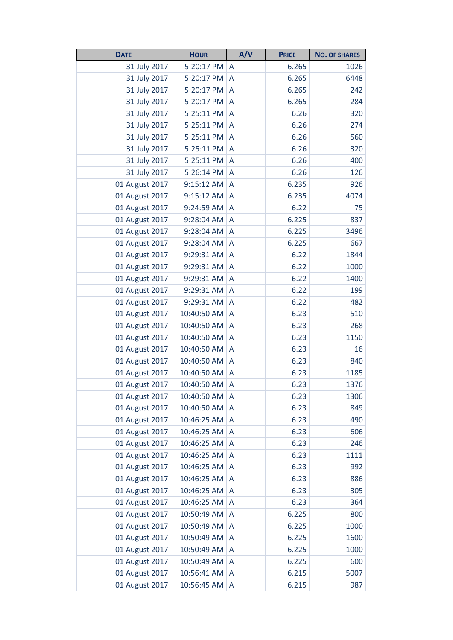| <b>DATE</b>    | <b>HOUR</b> | A/V | <b>PRICE</b> | <b>NO. OF SHARES</b> |
|----------------|-------------|-----|--------------|----------------------|
| 31 July 2017   | 5:20:17 PM  | A   | 6.265        | 1026                 |
| 31 July 2017   | 5:20:17 PM  | A   | 6.265        | 6448                 |
| 31 July 2017   | 5:20:17 PM  | A   | 6.265        | 242                  |
| 31 July 2017   | 5:20:17 PM  | A   | 6.265        | 284                  |
| 31 July 2017   | 5:25:11 PM  | A   | 6.26         | 320                  |
| 31 July 2017   | 5:25:11 PM  | A   | 6.26         | 274                  |
| 31 July 2017   | 5:25:11 PM  | A   | 6.26         | 560                  |
| 31 July 2017   | 5:25:11 PM  | A   | 6.26         | 320                  |
| 31 July 2017   | 5:25:11 PM  | A   | 6.26         | 400                  |
| 31 July 2017   | 5:26:14 PM  | A   | 6.26         | 126                  |
| 01 August 2017 | 9:15:12 AM  | A   | 6.235        | 926                  |
| 01 August 2017 | 9:15:12 AM  | A   | 6.235        | 4074                 |
| 01 August 2017 | 9:24:59 AM  | A   | 6.22         | 75                   |
| 01 August 2017 | 9:28:04 AM  | A   | 6.225        | 837                  |
| 01 August 2017 | 9:28:04 AM  | A   | 6.225        | 3496                 |
| 01 August 2017 | 9:28:04 AM  | A   | 6.225        | 667                  |
| 01 August 2017 | 9:29:31 AM  | A   | 6.22         | 1844                 |
| 01 August 2017 | 9:29:31 AM  | A   | 6.22         | 1000                 |
| 01 August 2017 | 9:29:31 AM  | A   | 6.22         | 1400                 |
| 01 August 2017 | 9:29:31 AM  | A   | 6.22         | 199                  |
| 01 August 2017 | 9:29:31 AM  | A   | 6.22         | 482                  |
| 01 August 2017 | 10:40:50 AM | A   | 6.23         | 510                  |
| 01 August 2017 | 10:40:50 AM | A   | 6.23         | 268                  |
| 01 August 2017 | 10:40:50 AM | A   | 6.23         | 1150                 |
| 01 August 2017 | 10:40:50 AM | A   | 6.23         | 16                   |
| 01 August 2017 | 10:40:50 AM | A   | 6.23         | 840                  |
| 01 August 2017 | 10:40:50 AM | A   | 6.23         | 1185                 |
| 01 August 2017 | 10:40:50 AM | A   | 6.23         | 1376                 |
| 01 August 2017 | 10:40:50 AM | A   | 6.23         | 1306                 |
| 01 August 2017 | 10:40:50 AM | A   | 6.23         | 849                  |
| 01 August 2017 | 10:46:25 AM | A   | 6.23         | 490                  |
| 01 August 2017 | 10:46:25 AM | A   | 6.23         | 606                  |
| 01 August 2017 | 10:46:25 AM | A   | 6.23         | 246                  |
| 01 August 2017 | 10:46:25 AM | A   | 6.23         | 1111                 |
| 01 August 2017 | 10:46:25 AM | A   | 6.23         | 992                  |
| 01 August 2017 | 10:46:25 AM | A   | 6.23         | 886                  |
| 01 August 2017 | 10:46:25 AM | A   | 6.23         | 305                  |
| 01 August 2017 | 10:46:25 AM | A   | 6.23         | 364                  |
| 01 August 2017 | 10:50:49 AM | A   | 6.225        | 800                  |
| 01 August 2017 | 10:50:49 AM | A   | 6.225        | 1000                 |
| 01 August 2017 | 10:50:49 AM | A   | 6.225        | 1600                 |
| 01 August 2017 | 10:50:49 AM | A   | 6.225        | 1000                 |
| 01 August 2017 | 10:50:49 AM | A   | 6.225        | 600                  |
| 01 August 2017 | 10:56:41 AM | A   | 6.215        | 5007                 |
| 01 August 2017 | 10:56:45 AM | A   | 6.215        | 987                  |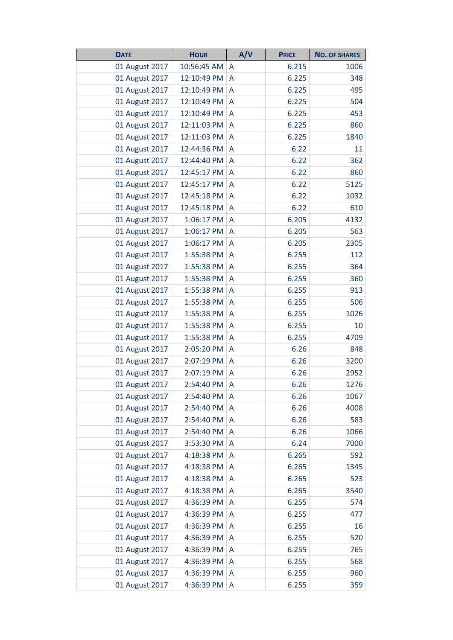| <b>DATE</b>    | <b>HOUR</b> | A/V            | <b>PRICE</b> | <b>NO. OF SHARES</b> |
|----------------|-------------|----------------|--------------|----------------------|
| 01 August 2017 | 10:56:45 AM | A              | 6.215        | 1006                 |
| 01 August 2017 | 12:10:49 PM | A              | 6.225        | 348                  |
| 01 August 2017 | 12:10:49 PM | A              | 6.225        | 495                  |
| 01 August 2017 | 12:10:49 PM | A              | 6.225        | 504                  |
| 01 August 2017 | 12:10:49 PM | A              | 6.225        | 453                  |
| 01 August 2017 | 12:11:03 PM | A              | 6.225        | 860                  |
| 01 August 2017 | 12:11:03 PM | A              | 6.225        | 1840                 |
| 01 August 2017 | 12:44:36 PM | A              | 6.22         | 11                   |
| 01 August 2017 | 12:44:40 PM | A              | 6.22         | 362                  |
| 01 August 2017 | 12:45:17 PM | A              | 6.22         | 860                  |
| 01 August 2017 | 12:45:17 PM | A              | 6.22         | 5125                 |
| 01 August 2017 | 12:45:18 PM | A              | 6.22         | 1032                 |
| 01 August 2017 | 12:45:18 PM | A              | 6.22         | 610                  |
| 01 August 2017 | 1:06:17 PM  | A              | 6.205        | 4132                 |
| 01 August 2017 | 1:06:17 PM  | A              | 6.205        | 563                  |
| 01 August 2017 | 1:06:17 PM  | A              | 6.205        | 2305                 |
| 01 August 2017 | 1:55:38 PM  | A              | 6.255        | 112                  |
| 01 August 2017 | 1:55:38 PM  | A              | 6.255        | 364                  |
| 01 August 2017 | 1:55:38 PM  | A              | 6.255        | 360                  |
| 01 August 2017 | 1:55:38 PM  | A              | 6.255        | 913                  |
| 01 August 2017 | 1:55:38 PM  | A              | 6.255        | 506                  |
| 01 August 2017 | 1:55:38 PM  | A              | 6.255        | 1026                 |
| 01 August 2017 | 1:55:38 PM  | A              | 6.255        | 10                   |
| 01 August 2017 | 1:55:38 PM  | A              | 6.255        | 4709                 |
| 01 August 2017 | 2:05:20 PM  | A              | 6.26         | 848                  |
| 01 August 2017 | 2:07:19 PM  | A              | 6.26         | 3200                 |
| 01 August 2017 | 2:07:19 PM  | A              | 6.26         | 2952                 |
| 01 August 2017 | 2:54:40 PM  | A              | 6.26         | 1276                 |
| 01 August 2017 | 2:54:40 PM  | A              | 6.26         | 1067                 |
| 01 August 2017 | 2:54:40 PM  | A              | 6.26         | 4008                 |
| 01 August 2017 | 2:54:40 PM  | A              | 6.26         | 583                  |
| 01 August 2017 | 2:54:40 PM  | $\overline{A}$ | 6.26         | 1066                 |
| 01 August 2017 | 3:53:30 PM  | A              | 6.24         | 7000                 |
| 01 August 2017 | 4:18:38 PM  | A              | 6.265        | 592                  |
| 01 August 2017 | 4:18:38 PM  | $\overline{A}$ | 6.265        | 1345                 |
| 01 August 2017 | 4:18:38 PM  | A              | 6.265        | 523                  |
| 01 August 2017 | 4:18:38 PM  | A              | 6.265        | 3540                 |
| 01 August 2017 | 4:36:39 PM  | A              | 6.255        | 574                  |
| 01 August 2017 | 4:36:39 PM  | A              | 6.255        | 477                  |
| 01 August 2017 | 4:36:39 PM  | A              | 6.255        | 16                   |
| 01 August 2017 | 4:36:39 PM  | A              | 6.255        | 520                  |
| 01 August 2017 | 4:36:39 PM  | $\overline{A}$ | 6.255        | 765                  |
| 01 August 2017 | 4:36:39 PM  | A              | 6.255        | 568                  |
| 01 August 2017 | 4:36:39 PM  | A              | 6.255        | 960                  |
| 01 August 2017 | 4:36:39 PM  | A              | 6.255        | 359                  |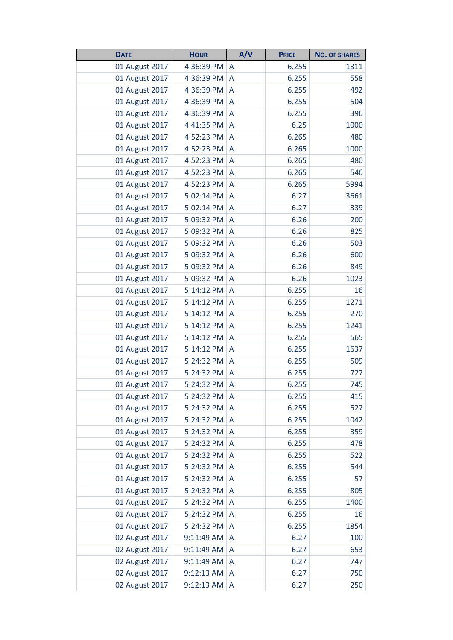| <b>DATE</b>    | <b>HOUR</b> | A/V            | <b>PRICE</b> | <b>NO. OF SHARES</b> |
|----------------|-------------|----------------|--------------|----------------------|
| 01 August 2017 | 4:36:39 PM  | A              | 6.255        | 1311                 |
| 01 August 2017 | 4:36:39 PM  | A              | 6.255        | 558                  |
| 01 August 2017 | 4:36:39 PM  | A              | 6.255        | 492                  |
| 01 August 2017 | 4:36:39 PM  | A              | 6.255        | 504                  |
| 01 August 2017 | 4:36:39 PM  | A              | 6.255        | 396                  |
| 01 August 2017 | 4:41:35 PM  | A              | 6.25         | 1000                 |
| 01 August 2017 | 4:52:23 PM  | A              | 6.265        | 480                  |
| 01 August 2017 | 4:52:23 PM  | A              | 6.265        | 1000                 |
| 01 August 2017 | 4:52:23 PM  | A              | 6.265        | 480                  |
| 01 August 2017 | 4:52:23 PM  | A              | 6.265        | 546                  |
| 01 August 2017 | 4:52:23 PM  | A              | 6.265        | 5994                 |
| 01 August 2017 | 5:02:14 PM  | A              | 6.27         | 3661                 |
| 01 August 2017 | 5:02:14 PM  | A              | 6.27         | 339                  |
| 01 August 2017 | 5:09:32 PM  | A              | 6.26         | 200                  |
| 01 August 2017 | 5:09:32 PM  | A              | 6.26         | 825                  |
| 01 August 2017 | 5:09:32 PM  | A              | 6.26         | 503                  |
| 01 August 2017 | 5:09:32 PM  | A              | 6.26         | 600                  |
| 01 August 2017 | 5:09:32 PM  | A              | 6.26         | 849                  |
| 01 August 2017 | 5:09:32 PM  | A              | 6.26         | 1023                 |
| 01 August 2017 | 5:14:12 PM  | A              | 6.255        | 16                   |
| 01 August 2017 | 5:14:12 PM  | A              | 6.255        | 1271                 |
| 01 August 2017 | 5:14:12 PM  | A              | 6.255        | 270                  |
| 01 August 2017 | 5:14:12 PM  | A              | 6.255        | 1241                 |
| 01 August 2017 | 5:14:12 PM  | A              | 6.255        | 565                  |
| 01 August 2017 | 5:14:12 PM  | A              | 6.255        | 1637                 |
| 01 August 2017 | 5:24:32 PM  | A              | 6.255        | 509                  |
| 01 August 2017 | 5:24:32 PM  | A              | 6.255        | 727                  |
| 01 August 2017 | 5:24:32 PM  | A              | 6.255        | 745                  |
| 01 August 2017 | 5:24:32 PM  | A              | 6.255        | 415                  |
| 01 August 2017 | 5:24:32 PM  | A              | 6.255        | 527                  |
| 01 August 2017 | 5:24:32 PM  | A              | 6.255        | 1042                 |
| 01 August 2017 | 5:24:32 PM  | $\overline{A}$ | 6.255        | 359                  |
| 01 August 2017 | 5:24:32 PM  | A              | 6.255        | 478                  |
| 01 August 2017 | 5:24:32 PM  | A              | 6.255        | 522                  |
| 01 August 2017 | 5:24:32 PM  | A              | 6.255        | 544                  |
| 01 August 2017 | 5:24:32 PM  | A              | 6.255        | 57                   |
| 01 August 2017 | 5:24:32 PM  | A              | 6.255        | 805                  |
| 01 August 2017 | 5:24:32 PM  | A              | 6.255        | 1400                 |
| 01 August 2017 | 5:24:32 PM  | A              | 6.255        | 16                   |
| 01 August 2017 | 5:24:32 PM  | A              | 6.255        | 1854                 |
| 02 August 2017 | 9:11:49 AM  | A              | 6.27         | 100                  |
| 02 August 2017 | 9:11:49 AM  | $\overline{A}$ | 6.27         | 653                  |
| 02 August 2017 | 9:11:49 AM  | A              | 6.27         | 747                  |
| 02 August 2017 | 9:12:13 AM  | A              | 6.27         | 750                  |
| 02 August 2017 | 9:12:13 AM  | A              | 6.27         | 250                  |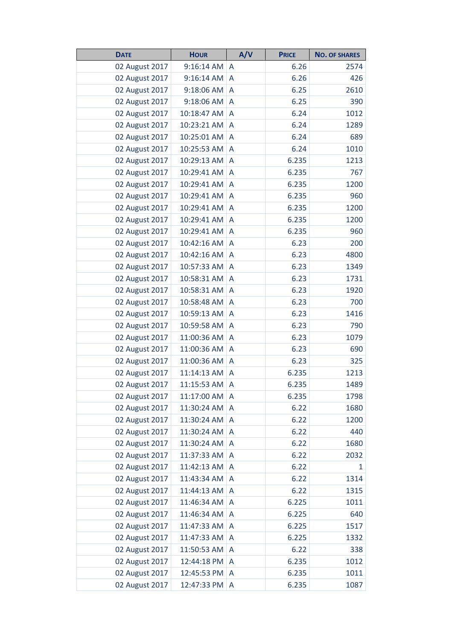| <b>DATE</b>    | <b>HOUR</b> | A/V            | <b>PRICE</b> | <b>NO. OF SHARES</b> |
|----------------|-------------|----------------|--------------|----------------------|
| 02 August 2017 | 9:16:14 AM  | A              | 6.26         | 2574                 |
| 02 August 2017 | 9:16:14 AM  | A              | 6.26         | 426                  |
| 02 August 2017 | 9:18:06 AM  | A              | 6.25         | 2610                 |
| 02 August 2017 | 9:18:06 AM  | A              | 6.25         | 390                  |
| 02 August 2017 | 10:18:47 AM | A              | 6.24         | 1012                 |
| 02 August 2017 | 10:23:21 AM | A              | 6.24         | 1289                 |
| 02 August 2017 | 10:25:01 AM | A              | 6.24         | 689                  |
| 02 August 2017 | 10:25:53 AM | A              | 6.24         | 1010                 |
| 02 August 2017 | 10:29:13 AM | A              | 6.235        | 1213                 |
| 02 August 2017 | 10:29:41 AM | A              | 6.235        | 767                  |
| 02 August 2017 | 10:29:41 AM | A              | 6.235        | 1200                 |
| 02 August 2017 | 10:29:41 AM | A              | 6.235        | 960                  |
| 02 August 2017 | 10:29:41 AM | A              | 6.235        | 1200                 |
| 02 August 2017 | 10:29:41 AM | A              | 6.235        | 1200                 |
| 02 August 2017 | 10:29:41 AM | A              | 6.235        | 960                  |
| 02 August 2017 | 10:42:16 AM | A              | 6.23         | 200                  |
| 02 August 2017 | 10:42:16 AM | A              | 6.23         | 4800                 |
| 02 August 2017 | 10:57:33 AM | A              | 6.23         | 1349                 |
| 02 August 2017 | 10:58:31 AM | A              | 6.23         | 1731                 |
| 02 August 2017 | 10:58:31 AM | A              | 6.23         | 1920                 |
| 02 August 2017 | 10:58:48 AM | A              | 6.23         | 700                  |
| 02 August 2017 | 10:59:13 AM | A              | 6.23         | 1416                 |
| 02 August 2017 | 10:59:58 AM | A              | 6.23         | 790                  |
| 02 August 2017 | 11:00:36 AM | Α              | 6.23         | 1079                 |
| 02 August 2017 | 11:00:36 AM | A              | 6.23         | 690                  |
| 02 August 2017 | 11:00:36 AM | A              | 6.23         | 325                  |
| 02 August 2017 | 11:14:13 AM | A              | 6.235        | 1213                 |
| 02 August 2017 | 11:15:53 AM | A              | 6.235        | 1489                 |
| 02 August 2017 | 11:17:00 AM | A              | 6.235        | 1798                 |
| 02 August 2017 | 11:30:24 AM | A              | 6.22         | 1680                 |
| 02 August 2017 | 11:30:24 AM | A              | 6.22         | 1200                 |
| 02 August 2017 | 11:30:24 AM | $\overline{A}$ | 6.22         | 440                  |
| 02 August 2017 | 11:30:24 AM | A              | 6.22         | 1680                 |
| 02 August 2017 | 11:37:33 AM | A              | 6.22         | 2032                 |
| 02 August 2017 | 11:42:13 AM | A              | 6.22         | 1                    |
| 02 August 2017 | 11:43:34 AM | A              | 6.22         | 1314                 |
| 02 August 2017 | 11:44:13 AM | A              | 6.22         | 1315                 |
| 02 August 2017 | 11:46:34 AM | A              | 6.225        | 1011                 |
| 02 August 2017 | 11:46:34 AM | A              | 6.225        | 640                  |
| 02 August 2017 | 11:47:33 AM | A              | 6.225        | 1517                 |
| 02 August 2017 | 11:47:33 AM | A              | 6.225        | 1332                 |
| 02 August 2017 | 11:50:53 AM | A              | 6.22         | 338                  |
| 02 August 2017 | 12:44:18 PM | A              | 6.235        | 1012                 |
| 02 August 2017 | 12:45:53 PM | A              | 6.235        | 1011                 |
| 02 August 2017 | 12:47:33 PM | A              | 6.235        | 1087                 |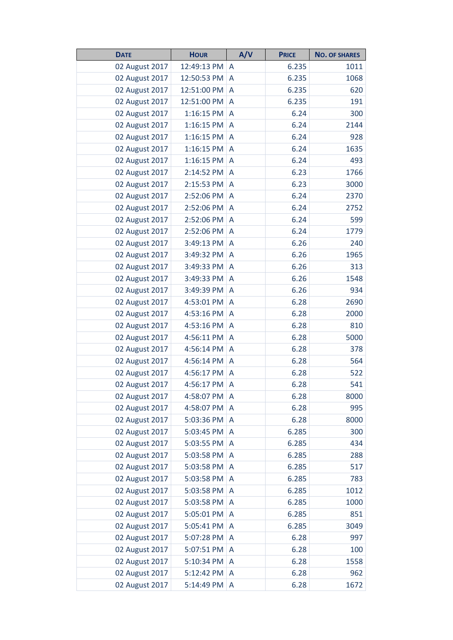| <b>DATE</b>    | <b>HOUR</b> | A/V            | <b>PRICE</b> | <b>NO. OF SHARES</b> |
|----------------|-------------|----------------|--------------|----------------------|
| 02 August 2017 | 12:49:13 PM | A              | 6.235        | 1011                 |
| 02 August 2017 | 12:50:53 PM | A              | 6.235        | 1068                 |
| 02 August 2017 | 12:51:00 PM | A              | 6.235        | 620                  |
| 02 August 2017 | 12:51:00 PM | A              | 6.235        | 191                  |
| 02 August 2017 | 1:16:15 PM  | A              | 6.24         | 300                  |
| 02 August 2017 | 1:16:15 PM  | A              | 6.24         | 2144                 |
| 02 August 2017 | 1:16:15 PM  | A              | 6.24         | 928                  |
| 02 August 2017 | 1:16:15 PM  | A              | 6.24         | 1635                 |
| 02 August 2017 | 1:16:15 PM  | A              | 6.24         | 493                  |
| 02 August 2017 | 2:14:52 PM  | A              | 6.23         | 1766                 |
| 02 August 2017 | 2:15:53 PM  | A              | 6.23         | 3000                 |
| 02 August 2017 | 2:52:06 PM  | A              | 6.24         | 2370                 |
| 02 August 2017 | 2:52:06 PM  | $\overline{A}$ | 6.24         | 2752                 |
| 02 August 2017 | 2:52:06 PM  | A              | 6.24         | 599                  |
| 02 August 2017 | 2:52:06 PM  | A              | 6.24         | 1779                 |
| 02 August 2017 | 3:49:13 PM  | A              | 6.26         | 240                  |
| 02 August 2017 | 3:49:32 PM  | A              | 6.26         | 1965                 |
| 02 August 2017 | 3:49:33 PM  | A              | 6.26         | 313                  |
| 02 August 2017 | 3:49:33 PM  | A              | 6.26         | 1548                 |
| 02 August 2017 | 3:49:39 PM  | A              | 6.26         | 934                  |
| 02 August 2017 | 4:53:01 PM  | A              | 6.28         | 2690                 |
| 02 August 2017 | 4:53:16 PM  | A              | 6.28         | 2000                 |
| 02 August 2017 | 4:53:16 PM  | A              | 6.28         | 810                  |
| 02 August 2017 | 4:56:11 PM  | A              | 6.28         | 5000                 |
| 02 August 2017 | 4:56:14 PM  | A              | 6.28         | 378                  |
| 02 August 2017 | 4:56:14 PM  | A              | 6.28         | 564                  |
| 02 August 2017 | 4:56:17 PM  | A              | 6.28         | 522                  |
| 02 August 2017 | 4:56:17 PM  | A              | 6.28         | 541                  |
| 02 August 2017 | 4:58:07 PM  | A              | 6.28         | 8000                 |
| 02 August 2017 | 4:58:07 PM  | A              | 6.28         | 995                  |
| 02 August 2017 | 5:03:36 PM  | A              | 6.28         | 8000                 |
| 02 August 2017 | 5:03:45 PM  | A              | 6.285        | 300                  |
| 02 August 2017 | 5:03:55 PM  | A              | 6.285        | 434                  |
| 02 August 2017 | 5:03:58 PM  | A              | 6.285        | 288                  |
| 02 August 2017 | 5:03:58 PM  | $\overline{A}$ | 6.285        | 517                  |
| 02 August 2017 | 5:03:58 PM  | A              | 6.285        | 783                  |
| 02 August 2017 | 5:03:58 PM  | A              | 6.285        | 1012                 |
| 02 August 2017 | 5:03:58 PM  | A              | 6.285        | 1000                 |
| 02 August 2017 | 5:05:01 PM  | A              | 6.285        | 851                  |
| 02 August 2017 | 5:05:41 PM  | A              | 6.285        | 3049                 |
| 02 August 2017 | 5:07:28 PM  | A              | 6.28         | 997                  |
| 02 August 2017 | 5:07:51 PM  | A              | 6.28         | 100                  |
| 02 August 2017 | 5:10:34 PM  | A              | 6.28         | 1558                 |
| 02 August 2017 | 5:12:42 PM  | A              | 6.28         | 962                  |
| 02 August 2017 | 5:14:49 PM  | A              | 6.28         | 1672                 |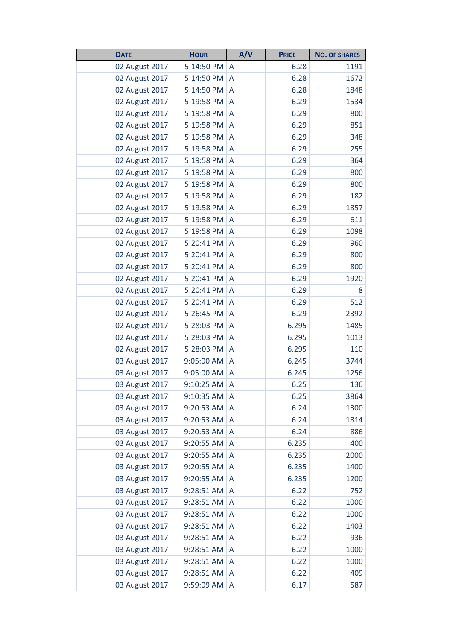| <b>DATE</b>    | <b>HOUR</b> | A/V            | <b>PRICE</b> | <b>NO. OF SHARES</b> |
|----------------|-------------|----------------|--------------|----------------------|
| 02 August 2017 | 5:14:50 PM  | A              | 6.28         | 1191                 |
| 02 August 2017 | 5:14:50 PM  | A              | 6.28         | 1672                 |
| 02 August 2017 | 5:14:50 PM  | A              | 6.28         | 1848                 |
| 02 August 2017 | 5:19:58 PM  | A              | 6.29         | 1534                 |
| 02 August 2017 | 5:19:58 PM  | A              | 6.29         | 800                  |
| 02 August 2017 | 5:19:58 PM  | A              | 6.29         | 851                  |
| 02 August 2017 | 5:19:58 PM  | A              | 6.29         | 348                  |
| 02 August 2017 | 5:19:58 PM  | A              | 6.29         | 255                  |
| 02 August 2017 | 5:19:58 PM  | A              | 6.29         | 364                  |
| 02 August 2017 | 5:19:58 PM  | A              | 6.29         | 800                  |
| 02 August 2017 | 5:19:58 PM  | A              | 6.29         | 800                  |
| 02 August 2017 | 5:19:58 PM  | A              | 6.29         | 182                  |
| 02 August 2017 | 5:19:58 PM  | A              | 6.29         | 1857                 |
| 02 August 2017 | 5:19:58 PM  | A              | 6.29         | 611                  |
| 02 August 2017 | 5:19:58 PM  | A              | 6.29         | 1098                 |
| 02 August 2017 | 5:20:41 PM  | A              | 6.29         | 960                  |
| 02 August 2017 | 5:20:41 PM  | A              | 6.29         | 800                  |
| 02 August 2017 | 5:20:41 PM  | A              | 6.29         | 800                  |
| 02 August 2017 | 5:20:41 PM  | A              | 6.29         | 1920                 |
| 02 August 2017 | 5:20:41 PM  | A              | 6.29         | 8                    |
| 02 August 2017 | 5:20:41 PM  | A              | 6.29         | 512                  |
| 02 August 2017 | 5:26:45 PM  | A              | 6.29         | 2392                 |
| 02 August 2017 | 5:28:03 PM  | A              | 6.295        | 1485                 |
| 02 August 2017 | 5:28:03 PM  | A              | 6.295        | 1013                 |
| 02 August 2017 | 5:28:03 PM  | A              | 6.295        | 110                  |
| 03 August 2017 | 9:05:00 AM  | A              | 6.245        | 3744                 |
| 03 August 2017 | 9:05:00 AM  | A              | 6.245        | 1256                 |
| 03 August 2017 | 9:10:25 AM  | A              | 6.25         | 136                  |
| 03 August 2017 | 9:10:35 AM  | A              | 6.25         | 3864                 |
| 03 August 2017 | 9:20:53 AM  | A              | 6.24         | 1300                 |
| 03 August 2017 | 9:20:53 AM  | A              | 6.24         | 1814                 |
| 03 August 2017 | 9:20:53 AM  | $\overline{A}$ | 6.24         | 886                  |
| 03 August 2017 | 9:20:55 AM  | A              | 6.235        | 400                  |
| 03 August 2017 | 9:20:55 AM  | A              | 6.235        | 2000                 |
| 03 August 2017 | 9:20:55 AM  | $\overline{A}$ | 6.235        | 1400                 |
| 03 August 2017 | 9:20:55 AM  | A              | 6.235        | 1200                 |
| 03 August 2017 | 9:28:51 AM  | A              | 6.22         | 752                  |
| 03 August 2017 | 9:28:51 AM  | A              | 6.22         | 1000                 |
| 03 August 2017 | 9:28:51 AM  | A              | 6.22         | 1000                 |
| 03 August 2017 | 9:28:51 AM  | A              | 6.22         | 1403                 |
| 03 August 2017 | 9:28:51 AM  | A              | 6.22         | 936                  |
| 03 August 2017 | 9:28:51 AM  | A              | 6.22         | 1000                 |
| 03 August 2017 | 9:28:51 AM  | A              | 6.22         | 1000                 |
| 03 August 2017 | 9:28:51 AM  | A              | 6.22         | 409                  |
| 03 August 2017 | 9:59:09 AM  | A              | 6.17         | 587                  |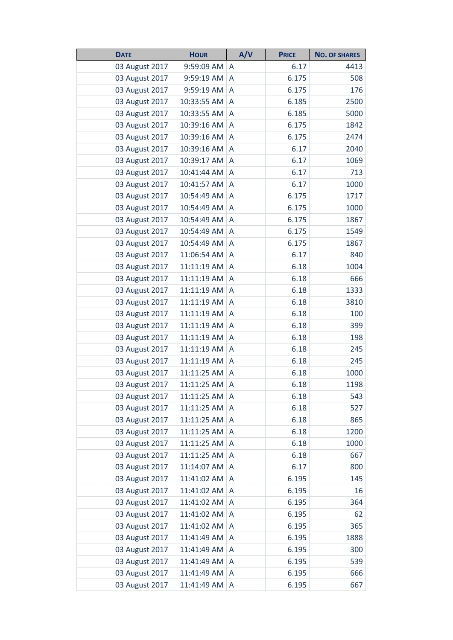| <b>DATE</b>    | <b>HOUR</b> | A/V | <b>PRICE</b> | <b>NO. OF SHARES</b> |
|----------------|-------------|-----|--------------|----------------------|
| 03 August 2017 | 9:59:09 AM  | A   | 6.17         | 4413                 |
| 03 August 2017 | 9:59:19 AM  | A   | 6.175        | 508                  |
| 03 August 2017 | 9:59:19 AM  | A   | 6.175        | 176                  |
| 03 August 2017 | 10:33:55 AM | A   | 6.185        | 2500                 |
| 03 August 2017 | 10:33:55 AM | A   | 6.185        | 5000                 |
| 03 August 2017 | 10:39:16 AM | A   | 6.175        | 1842                 |
| 03 August 2017 | 10:39:16 AM | A   | 6.175        | 2474                 |
| 03 August 2017 | 10:39:16 AM | A   | 6.17         | 2040                 |
| 03 August 2017 | 10:39:17 AM | A   | 6.17         | 1069                 |
| 03 August 2017 | 10:41:44 AM | A   | 6.17         | 713                  |
| 03 August 2017 | 10:41:57 AM | A   | 6.17         | 1000                 |
| 03 August 2017 | 10:54:49 AM | A   | 6.175        | 1717                 |
| 03 August 2017 | 10:54:49 AM | A   | 6.175        | 1000                 |
| 03 August 2017 | 10:54:49 AM | A   | 6.175        | 1867                 |
| 03 August 2017 | 10:54:49 AM | A   | 6.175        | 1549                 |
| 03 August 2017 | 10:54:49 AM | A   | 6.175        | 1867                 |
| 03 August 2017 | 11:06:54 AM | A   | 6.17         | 840                  |
| 03 August 2017 | 11:11:19 AM | A   | 6.18         | 1004                 |
| 03 August 2017 | 11:11:19 AM | A   | 6.18         | 666                  |
| 03 August 2017 | 11:11:19 AM | A   | 6.18         | 1333                 |
| 03 August 2017 | 11:11:19 AM | A   | 6.18         | 3810                 |
| 03 August 2017 | 11:11:19 AM | A   | 6.18         | 100                  |
| 03 August 2017 | 11:11:19 AM | A   | 6.18         | 399                  |
| 03 August 2017 | 11:11:19 AM | A   | 6.18         | 198                  |
| 03 August 2017 | 11:11:19 AM | A   | 6.18         | 245                  |
| 03 August 2017 | 11:11:19 AM | A   | 6.18         | 245                  |
| 03 August 2017 | 11:11:25 AM | A   | 6.18         | 1000                 |
| 03 August 2017 | 11:11:25 AM | A   | 6.18         | 1198                 |
| 03 August 2017 | 11:11:25 AM | A   | 6.18         | 543                  |
| 03 August 2017 | 11:11:25 AM | A   | 6.18         | 527                  |
| 03 August 2017 | 11:11:25 AM | A   | 6.18         | 865                  |
| 03 August 2017 | 11:11:25 AM | A   | 6.18         | 1200                 |
| 03 August 2017 | 11:11:25 AM | A   | 6.18         | 1000                 |
| 03 August 2017 | 11:11:25 AM | A   | 6.18         | 667                  |
| 03 August 2017 | 11:14:07 AM | A   | 6.17         | 800                  |
| 03 August 2017 | 11:41:02 AM | A   | 6.195        | 145                  |
| 03 August 2017 | 11:41:02 AM | A   | 6.195        | 16                   |
| 03 August 2017 | 11:41:02 AM | A   | 6.195        | 364                  |
| 03 August 2017 | 11:41:02 AM | A   | 6.195        | 62                   |
| 03 August 2017 | 11:41:02 AM | A   | 6.195        | 365                  |
| 03 August 2017 | 11:41:49 AM | A   | 6.195        | 1888                 |
| 03 August 2017 | 11:41:49 AM | A   | 6.195        | 300                  |
| 03 August 2017 | 11:41:49 AM | A   | 6.195        | 539                  |
| 03 August 2017 | 11:41:49 AM | A   | 6.195        | 666                  |
| 03 August 2017 | 11:41:49 AM | A   | 6.195        | 667                  |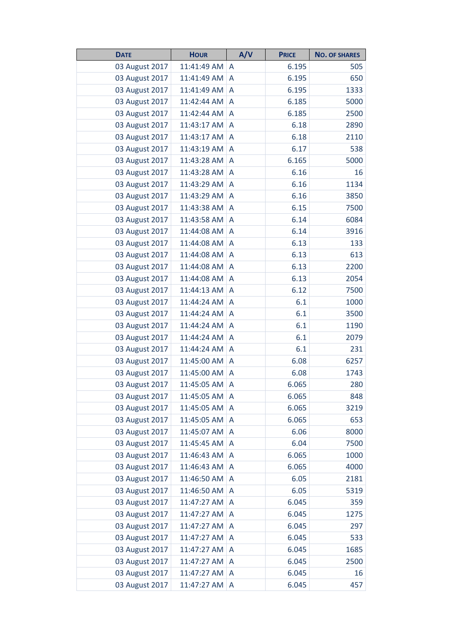| <b>DATE</b>    | <b>HOUR</b> | A/V            | <b>PRICE</b> | <b>NO. OF SHARES</b> |
|----------------|-------------|----------------|--------------|----------------------|
| 03 August 2017 | 11:41:49 AM | A              | 6.195        | 505                  |
| 03 August 2017 | 11:41:49 AM | A              | 6.195        | 650                  |
| 03 August 2017 | 11:41:49 AM | A              | 6.195        | 1333                 |
| 03 August 2017 | 11:42:44 AM | A              | 6.185        | 5000                 |
| 03 August 2017 | 11:42:44 AM | A              | 6.185        | 2500                 |
| 03 August 2017 | 11:43:17 AM | A              | 6.18         | 2890                 |
| 03 August 2017 | 11:43:17 AM | A              | 6.18         | 2110                 |
| 03 August 2017 | 11:43:19 AM | A              | 6.17         | 538                  |
| 03 August 2017 | 11:43:28 AM | A              | 6.165        | 5000                 |
| 03 August 2017 | 11:43:28 AM | A              | 6.16         | 16                   |
| 03 August 2017 | 11:43:29 AM | A              | 6.16         | 1134                 |
| 03 August 2017 | 11:43:29 AM | A              | 6.16         | 3850                 |
| 03 August 2017 | 11:43:38 AM | A              | 6.15         | 7500                 |
| 03 August 2017 | 11:43:58 AM | A              | 6.14         | 6084                 |
| 03 August 2017 | 11:44:08 AM | A              | 6.14         | 3916                 |
| 03 August 2017 | 11:44:08 AM | A              | 6.13         | 133                  |
| 03 August 2017 | 11:44:08 AM | A              | 6.13         | 613                  |
| 03 August 2017 | 11:44:08 AM | A              | 6.13         | 2200                 |
| 03 August 2017 | 11:44:08 AM | A              | 6.13         | 2054                 |
| 03 August 2017 | 11:44:13 AM | A              | 6.12         | 7500                 |
| 03 August 2017 | 11:44:24 AM | A              | 6.1          | 1000                 |
| 03 August 2017 | 11:44:24 AM | A              | 6.1          | 3500                 |
| 03 August 2017 | 11:44:24 AM | A              | 6.1          | 1190                 |
| 03 August 2017 | 11:44:24 AM | A              | 6.1          | 2079                 |
| 03 August 2017 | 11:44:24 AM | A              | 6.1          | 231                  |
| 03 August 2017 | 11:45:00 AM | A              | 6.08         | 6257                 |
| 03 August 2017 | 11:45:00 AM | A              | 6.08         | 1743                 |
| 03 August 2017 | 11:45:05 AM | A              | 6.065        | 280                  |
| 03 August 2017 | 11:45:05 AM | A              | 6.065        | 848                  |
| 03 August 2017 | 11:45:05 AM | A              | 6.065        | 3219                 |
| 03 August 2017 | 11:45:05 AM | A              | 6.065        | 653                  |
| 03 August 2017 | 11:45:07 AM | $\overline{A}$ | 6.06         | 8000                 |
| 03 August 2017 | 11:45:45 AM | A              | 6.04         | 7500                 |
| 03 August 2017 | 11:46:43 AM | A              | 6.065        | 1000                 |
| 03 August 2017 | 11:46:43 AM | A              | 6.065        | 4000                 |
| 03 August 2017 | 11:46:50 AM | A              | 6.05         | 2181                 |
| 03 August 2017 | 11:46:50 AM | A              | 6.05         | 5319                 |
| 03 August 2017 | 11:47:27 AM | A              | 6.045        | 359                  |
| 03 August 2017 | 11:47:27 AM | A              | 6.045        | 1275                 |
| 03 August 2017 | 11:47:27 AM | A              | 6.045        | 297                  |
| 03 August 2017 | 11:47:27 AM | A              | 6.045        | 533                  |
| 03 August 2017 | 11:47:27 AM | $\overline{A}$ | 6.045        | 1685                 |
| 03 August 2017 | 11:47:27 AM | A              | 6.045        | 2500                 |
| 03 August 2017 | 11:47:27 AM | A              | 6.045        | 16                   |
| 03 August 2017 | 11:47:27 AM | A              | 6.045        | 457                  |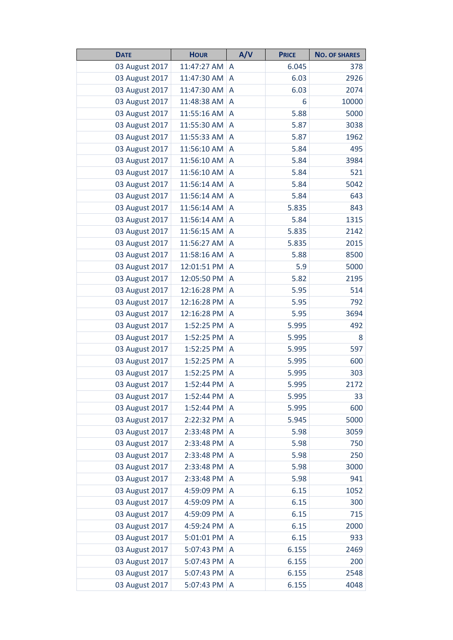| <b>DATE</b>    | <b>HOUR</b> | A/V            | <b>PRICE</b> | <b>NO. OF SHARES</b> |
|----------------|-------------|----------------|--------------|----------------------|
| 03 August 2017 | 11:47:27 AM | A              | 6.045        | 378                  |
| 03 August 2017 | 11:47:30 AM | A              | 6.03         | 2926                 |
| 03 August 2017 | 11:47:30 AM | A              | 6.03         | 2074                 |
| 03 August 2017 | 11:48:38 AM | A              | 6            | 10000                |
| 03 August 2017 | 11:55:16 AM | A              | 5.88         | 5000                 |
| 03 August 2017 | 11:55:30 AM | A              | 5.87         | 3038                 |
| 03 August 2017 | 11:55:33 AM | A              | 5.87         | 1962                 |
| 03 August 2017 | 11:56:10 AM | A              | 5.84         | 495                  |
| 03 August 2017 | 11:56:10 AM | A              | 5.84         | 3984                 |
| 03 August 2017 | 11:56:10 AM | A              | 5.84         | 521                  |
| 03 August 2017 | 11:56:14 AM | A              | 5.84         | 5042                 |
| 03 August 2017 | 11:56:14 AM | A              | 5.84         | 643                  |
| 03 August 2017 | 11:56:14 AM | A              | 5.835        | 843                  |
| 03 August 2017 | 11:56:14 AM | A              | 5.84         | 1315                 |
| 03 August 2017 | 11:56:15 AM | A              | 5.835        | 2142                 |
| 03 August 2017 | 11:56:27 AM | A              | 5.835        | 2015                 |
| 03 August 2017 | 11:58:16 AM | A              | 5.88         | 8500                 |
| 03 August 2017 | 12:01:51 PM | A              | 5.9          | 5000                 |
| 03 August 2017 | 12:05:50 PM | A              | 5.82         | 2195                 |
| 03 August 2017 | 12:16:28 PM | A              | 5.95         | 514                  |
| 03 August 2017 | 12:16:28 PM | A              | 5.95         | 792                  |
| 03 August 2017 | 12:16:28 PM | A              | 5.95         | 3694                 |
| 03 August 2017 | 1:52:25 PM  | A              | 5.995        | 492                  |
| 03 August 2017 | 1:52:25 PM  | A              | 5.995        | 8                    |
| 03 August 2017 | 1:52:25 PM  | A              | 5.995        | 597                  |
| 03 August 2017 | 1:52:25 PM  | A              | 5.995        | 600                  |
| 03 August 2017 | 1:52:25 PM  | A              | 5.995        | 303                  |
| 03 August 2017 | 1:52:44 PM  | A              | 5.995        | 2172                 |
| 03 August 2017 | 1:52:44 PM  | A              | 5.995        | 33                   |
| 03 August 2017 | 1:52:44 PM  | A              | 5.995        | 600                  |
| 03 August 2017 | 2:22:32 PM  | A              | 5.945        | 5000                 |
| 03 August 2017 | 2:33:48 PM  | $\overline{A}$ | 5.98         | 3059                 |
| 03 August 2017 | 2:33:48 PM  | A              | 5.98         | 750                  |
| 03 August 2017 | 2:33:48 PM  | A              | 5.98         | 250                  |
| 03 August 2017 | 2:33:48 PM  | $\overline{A}$ | 5.98         | 3000                 |
| 03 August 2017 | 2:33:48 PM  | A              | 5.98         | 941                  |
| 03 August 2017 | 4:59:09 PM  | A              | 6.15         | 1052                 |
| 03 August 2017 | 4:59:09 PM  | A              | 6.15         | 300                  |
| 03 August 2017 | 4:59:09 PM  | A              | 6.15         | 715                  |
| 03 August 2017 | 4:59:24 PM  | A              | 6.15         | 2000                 |
| 03 August 2017 | 5:01:01 PM  | A              | 6.15         | 933                  |
| 03 August 2017 | 5:07:43 PM  | $\overline{A}$ | 6.155        | 2469                 |
| 03 August 2017 | 5:07:43 PM  | A              | 6.155        | 200                  |
| 03 August 2017 | 5:07:43 PM  | A              | 6.155        | 2548                 |
| 03 August 2017 | 5:07:43 PM  | A              | 6.155        | 4048                 |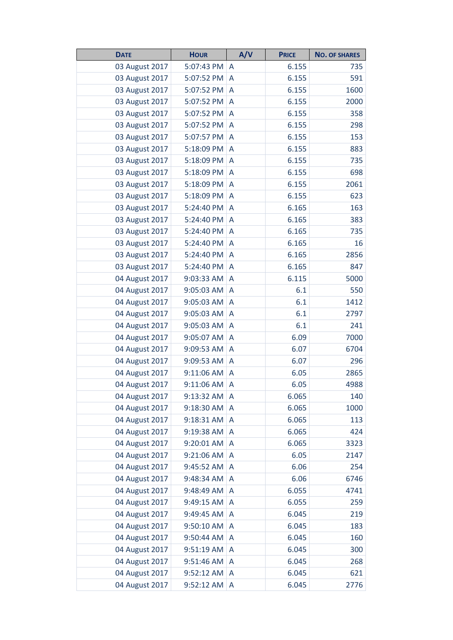| <b>DATE</b>    | <b>HOUR</b> | A/V            | <b>PRICE</b> | <b>NO. OF SHARES</b> |
|----------------|-------------|----------------|--------------|----------------------|
| 03 August 2017 | 5:07:43 PM  | A              | 6.155        | 735                  |
| 03 August 2017 | 5:07:52 PM  | A              | 6.155        | 591                  |
| 03 August 2017 | 5:07:52 PM  | A              | 6.155        | 1600                 |
| 03 August 2017 | 5:07:52 PM  | A              | 6.155        | 2000                 |
| 03 August 2017 | 5:07:52 PM  | A              | 6.155        | 358                  |
| 03 August 2017 | 5:07:52 PM  | $\overline{A}$ | 6.155        | 298                  |
| 03 August 2017 | 5:07:57 PM  | A              | 6.155        | 153                  |
| 03 August 2017 | 5:18:09 PM  | A              | 6.155        | 883                  |
| 03 August 2017 | 5:18:09 PM  | A              | 6.155        | 735                  |
| 03 August 2017 | 5:18:09 PM  | A              | 6.155        | 698                  |
| 03 August 2017 | 5:18:09 PM  | A              | 6.155        | 2061                 |
| 03 August 2017 | 5:18:09 PM  | A              | 6.155        | 623                  |
| 03 August 2017 | 5:24:40 PM  | A              | 6.165        | 163                  |
| 03 August 2017 | 5:24:40 PM  | A              | 6.165        | 383                  |
| 03 August 2017 | 5:24:40 PM  | A              | 6.165        | 735                  |
| 03 August 2017 | 5:24:40 PM  | A              | 6.165        | 16                   |
| 03 August 2017 | 5:24:40 PM  | A              | 6.165        | 2856                 |
| 03 August 2017 | 5:24:40 PM  | A              | 6.165        | 847                  |
| 04 August 2017 | 9:03:33 AM  | A              | 6.115        | 5000                 |
| 04 August 2017 | 9:05:03 AM  | A              | 6.1          | 550                  |
| 04 August 2017 | 9:05:03 AM  | A              | 6.1          | 1412                 |
| 04 August 2017 | 9:05:03 AM  | A              | 6.1          | 2797                 |
| 04 August 2017 | 9:05:03 AM  | A              | 6.1          | 241                  |
| 04 August 2017 | 9:05:07 AM  | A              | 6.09         | 7000                 |
| 04 August 2017 | 9:09:53 AM  | A              | 6.07         | 6704                 |
| 04 August 2017 | 9:09:53 AM  | A              | 6.07         | 296                  |
| 04 August 2017 | 9:11:06 AM  | A              | 6.05         | 2865                 |
| 04 August 2017 | 9:11:06 AM  | A              | 6.05         | 4988                 |
| 04 August 2017 | 9:13:32 AM  | A              | 6.065        | 140                  |
| 04 August 2017 | 9:18:30 AM  | A              | 6.065        | 1000                 |
| 04 August 2017 | 9:18:31 AM  | A              | 6.065        | 113                  |
| 04 August 2017 | 9:19:38 AM  | A              | 6.065        | 424                  |
| 04 August 2017 | 9:20:01 AM  | A              | 6.065        | 3323                 |
| 04 August 2017 | 9:21:06 AM  | A              | 6.05         | 2147                 |
| 04 August 2017 | 9:45:52 AM  | A              | 6.06         | 254                  |
| 04 August 2017 | 9:48:34 AM  | A              | 6.06         | 6746                 |
| 04 August 2017 | 9:48:49 AM  | A              | 6.055        | 4741                 |
| 04 August 2017 | 9:49:15 AM  | A              | 6.055        | 259                  |
| 04 August 2017 | 9:49:45 AM  | A              | 6.045        | 219                  |
| 04 August 2017 | 9:50:10 AM  | A              | 6.045        | 183                  |
| 04 August 2017 | 9:50:44 AM  | A              | 6.045        | 160                  |
| 04 August 2017 | 9:51:19 AM  | A              | 6.045        | 300                  |
| 04 August 2017 | 9:51:46 AM  | A              | 6.045        | 268                  |
| 04 August 2017 | 9:52:12 AM  | A              | 6.045        | 621                  |
| 04 August 2017 | 9:52:12 AM  | A              | 6.045        | 2776                 |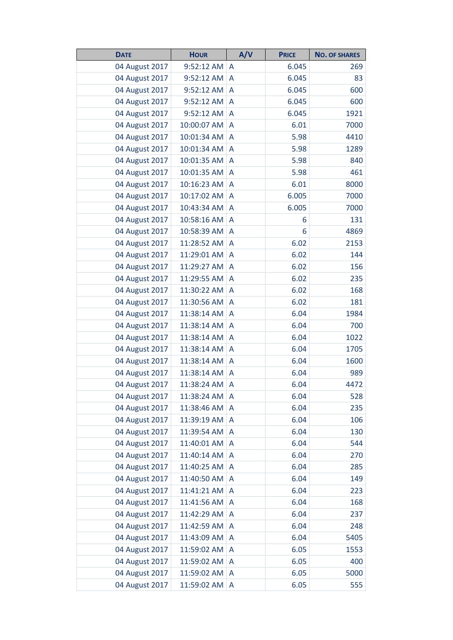| <b>DATE</b>    | <b>HOUR</b> | A/V | <b>PRICE</b> | <b>NO. OF SHARES</b> |
|----------------|-------------|-----|--------------|----------------------|
| 04 August 2017 | 9:52:12 AM  | A   | 6.045        | 269                  |
| 04 August 2017 | 9:52:12 AM  | A   | 6.045        | 83                   |
| 04 August 2017 | 9:52:12 AM  | A   | 6.045        | 600                  |
| 04 August 2017 | 9:52:12 AM  | A   | 6.045        | 600                  |
| 04 August 2017 | 9:52:12 AM  | A   | 6.045        | 1921                 |
| 04 August 2017 | 10:00:07 AM | A   | 6.01         | 7000                 |
| 04 August 2017 | 10:01:34 AM | A   | 5.98         | 4410                 |
| 04 August 2017 | 10:01:34 AM | A   | 5.98         | 1289                 |
| 04 August 2017 | 10:01:35 AM | A   | 5.98         | 840                  |
| 04 August 2017 | 10:01:35 AM | A   | 5.98         | 461                  |
| 04 August 2017 | 10:16:23 AM | A   | 6.01         | 8000                 |
| 04 August 2017 | 10:17:02 AM | A   | 6.005        | 7000                 |
| 04 August 2017 | 10:43:34 AM | A   | 6.005        | 7000                 |
| 04 August 2017 | 10:58:16 AM | A   | 6            | 131                  |
| 04 August 2017 | 10:58:39 AM | A   | 6            | 4869                 |
| 04 August 2017 | 11:28:52 AM | A   | 6.02         | 2153                 |
| 04 August 2017 | 11:29:01 AM | A   | 6.02         | 144                  |
| 04 August 2017 | 11:29:27 AM | A   | 6.02         | 156                  |
| 04 August 2017 | 11:29:55 AM | A   | 6.02         | 235                  |
| 04 August 2017 | 11:30:22 AM | A   | 6.02         | 168                  |
| 04 August 2017 | 11:30:56 AM | A   | 6.02         | 181                  |
| 04 August 2017 | 11:38:14 AM | A   | 6.04         | 1984                 |
| 04 August 2017 | 11:38:14 AM | A   | 6.04         | 700                  |
| 04 August 2017 | 11:38:14 AM | A   | 6.04         | 1022                 |
| 04 August 2017 | 11:38:14 AM | A   | 6.04         | 1705                 |
| 04 August 2017 | 11:38:14 AM | A   | 6.04         | 1600                 |
| 04 August 2017 | 11:38:14 AM | A   | 6.04         | 989                  |
| 04 August 2017 | 11:38:24 AM | A   | 6.04         | 4472                 |
| 04 August 2017 | 11:38:24 AM | A   | 6.04         | 528                  |
| 04 August 2017 | 11:38:46 AM | A   | 6.04         | 235                  |
| 04 August 2017 | 11:39:19 AM | A   | 6.04         | 106                  |
| 04 August 2017 | 11:39:54 AM | A   | 6.04         | 130                  |
| 04 August 2017 | 11:40:01 AM | A   | 6.04         | 544                  |
| 04 August 2017 | 11:40:14 AM | A   | 6.04         | 270                  |
| 04 August 2017 | 11:40:25 AM | A   | 6.04         | 285                  |
| 04 August 2017 | 11:40:50 AM | A   | 6.04         | 149                  |
| 04 August 2017 | 11:41:21 AM | A   | 6.04         | 223                  |
| 04 August 2017 | 11:41:56 AM | A   | 6.04         | 168                  |
| 04 August 2017 | 11:42:29 AM | A   | 6.04         | 237                  |
| 04 August 2017 | 11:42:59 AM | A   | 6.04         | 248                  |
| 04 August 2017 | 11:43:09 AM | A   | 6.04         | 5405                 |
| 04 August 2017 | 11:59:02 AM | A   | 6.05         | 1553                 |
| 04 August 2017 | 11:59:02 AM | A   | 6.05         | 400                  |
| 04 August 2017 | 11:59:02 AM | A   | 6.05         | 5000                 |
| 04 August 2017 | 11:59:02 AM | A   | 6.05         | 555                  |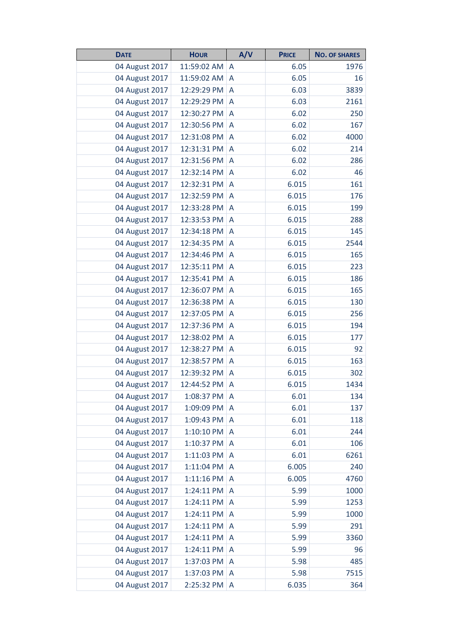| <b>DATE</b>    | <b>HOUR</b> | A/V            | <b>PRICE</b> | <b>NO. OF SHARES</b> |
|----------------|-------------|----------------|--------------|----------------------|
| 04 August 2017 | 11:59:02 AM | A              | 6.05         | 1976                 |
| 04 August 2017 | 11:59:02 AM | A              | 6.05         | 16                   |
| 04 August 2017 | 12:29:29 PM | A              | 6.03         | 3839                 |
| 04 August 2017 | 12:29:29 PM | A              | 6.03         | 2161                 |
| 04 August 2017 | 12:30:27 PM | A              | 6.02         | 250                  |
| 04 August 2017 | 12:30:56 PM | A              | 6.02         | 167                  |
| 04 August 2017 | 12:31:08 PM | A              | 6.02         | 4000                 |
| 04 August 2017 | 12:31:31 PM | A              | 6.02         | 214                  |
| 04 August 2017 | 12:31:56 PM | A              | 6.02         | 286                  |
| 04 August 2017 | 12:32:14 PM | A              | 6.02         | 46                   |
| 04 August 2017 | 12:32:31 PM | A              | 6.015        | 161                  |
| 04 August 2017 | 12:32:59 PM | A              | 6.015        | 176                  |
| 04 August 2017 | 12:33:28 PM | A              | 6.015        | 199                  |
| 04 August 2017 | 12:33:53 PM | A              | 6.015        | 288                  |
| 04 August 2017 | 12:34:18 PM | A              | 6.015        | 145                  |
| 04 August 2017 | 12:34:35 PM | A              | 6.015        | 2544                 |
| 04 August 2017 | 12:34:46 PM | A              | 6.015        | 165                  |
| 04 August 2017 | 12:35:11 PM | A              | 6.015        | 223                  |
| 04 August 2017 | 12:35:41 PM | A              | 6.015        | 186                  |
| 04 August 2017 | 12:36:07 PM | A              | 6.015        | 165                  |
| 04 August 2017 | 12:36:38 PM | A              | 6.015        | 130                  |
| 04 August 2017 | 12:37:05 PM | A              | 6.015        | 256                  |
| 04 August 2017 | 12:37:36 PM | A              | 6.015        | 194                  |
| 04 August 2017 | 12:38:02 PM | A              | 6.015        | 177                  |
| 04 August 2017 | 12:38:27 PM | A              | 6.015        | 92                   |
| 04 August 2017 | 12:38:57 PM | A              | 6.015        | 163                  |
| 04 August 2017 | 12:39:32 PM | A              | 6.015        | 302                  |
| 04 August 2017 | 12:44:52 PM | A              | 6.015        | 1434                 |
| 04 August 2017 | 1:08:37 PM  | A              | 6.01         | 134                  |
| 04 August 2017 | 1:09:09 PM  | A              | 6.01         | 137                  |
| 04 August 2017 | 1:09:43 PM  | A              | 6.01         | 118                  |
| 04 August 2017 | 1:10:10 PM  | A              | 6.01         | 244                  |
| 04 August 2017 | 1:10:37 PM  | A              | 6.01         | 106                  |
| 04 August 2017 | 1:11:03 PM  | A              | 6.01         | 6261                 |
| 04 August 2017 | 1:11:04 PM  | A              | 6.005        | 240                  |
| 04 August 2017 | 1:11:16 PM  | A              | 6.005        | 4760                 |
| 04 August 2017 | 1:24:11 PM  | $\overline{A}$ | 5.99         | 1000                 |
| 04 August 2017 | 1:24:11 PM  | A              | 5.99         | 1253                 |
| 04 August 2017 | 1:24:11 PM  | A              | 5.99         | 1000                 |
| 04 August 2017 | 1:24:11 PM  | A              | 5.99         | 291                  |
| 04 August 2017 | 1:24:11 PM  | A              | 5.99         | 3360                 |
| 04 August 2017 | 1:24:11 PM  | A              | 5.99         | 96                   |
| 04 August 2017 | 1:37:03 PM  | A              | 5.98         | 485                  |
| 04 August 2017 | 1:37:03 PM  | A              | 5.98         | 7515                 |
| 04 August 2017 | 2:25:32 PM  | A              | 6.035        | 364                  |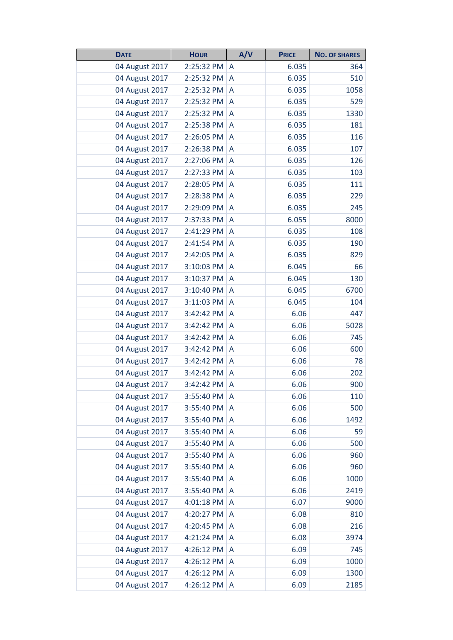| <b>DATE</b>    | <b>HOUR</b> | A/V            | <b>PRICE</b> | <b>NO. OF SHARES</b> |
|----------------|-------------|----------------|--------------|----------------------|
| 04 August 2017 | 2:25:32 PM  | A              | 6.035        | 364                  |
| 04 August 2017 | 2:25:32 PM  | A              | 6.035        | 510                  |
| 04 August 2017 | 2:25:32 PM  | A              | 6.035        | 1058                 |
| 04 August 2017 | 2:25:32 PM  | A              | 6.035        | 529                  |
| 04 August 2017 | 2:25:32 PM  | A              | 6.035        | 1330                 |
| 04 August 2017 | 2:25:38 PM  | A              | 6.035        | 181                  |
| 04 August 2017 | 2:26:05 PM  | A              | 6.035        | 116                  |
| 04 August 2017 | 2:26:38 PM  | $\overline{A}$ | 6.035        | 107                  |
| 04 August 2017 | 2:27:06 PM  | A              | 6.035        | 126                  |
| 04 August 2017 | 2:27:33 PM  | A              | 6.035        | 103                  |
| 04 August 2017 | 2:28:05 PM  | A              | 6.035        | 111                  |
| 04 August 2017 | 2:28:38 PM  | A              | 6.035        | 229                  |
| 04 August 2017 | 2:29:09 PM  | A              | 6.035        | 245                  |
| 04 August 2017 | 2:37:33 PM  | A              | 6.055        | 8000                 |
| 04 August 2017 | 2:41:29 PM  | A              | 6.035        | 108                  |
| 04 August 2017 | 2:41:54 PM  | A              | 6.035        | 190                  |
| 04 August 2017 | 2:42:05 PM  | A              | 6.035        | 829                  |
| 04 August 2017 | 3:10:03 PM  | A              | 6.045        | 66                   |
| 04 August 2017 | 3:10:37 PM  | A              | 6.045        | 130                  |
| 04 August 2017 | 3:10:40 PM  | A              | 6.045        | 6700                 |
| 04 August 2017 | 3:11:03 PM  | A              | 6.045        | 104                  |
| 04 August 2017 | 3:42:42 PM  | A              | 6.06         | 447                  |
| 04 August 2017 | 3:42:42 PM  | A              | 6.06         | 5028                 |
| 04 August 2017 | 3:42:42 PM  | A              | 6.06         | 745                  |
| 04 August 2017 | 3:42:42 PM  | A              | 6.06         | 600                  |
| 04 August 2017 | 3:42:42 PM  | A              | 6.06         | 78                   |
| 04 August 2017 | 3:42:42 PM  | A              | 6.06         | 202                  |
| 04 August 2017 | 3:42:42 PM  | A              | 6.06         | 900                  |
| 04 August 2017 | 3:55:40 PM  | A              | 6.06         | 110                  |
| 04 August 2017 | 3:55:40 PM  | A              | 6.06         | 500                  |
| 04 August 2017 | 3:55:40 PM  | A              | 6.06         | 1492                 |
| 04 August 2017 | 3:55:40 PM  | $\overline{A}$ | 6.06         | 59                   |
| 04 August 2017 | 3:55:40 PM  | A              | 6.06         | 500                  |
| 04 August 2017 | 3:55:40 PM  | A              | 6.06         | 960                  |
| 04 August 2017 | 3:55:40 PM  | $\overline{A}$ | 6.06         | 960                  |
| 04 August 2017 | 3:55:40 PM  | A              | 6.06         | 1000                 |
| 04 August 2017 | 3:55:40 PM  | A              | 6.06         | 2419                 |
| 04 August 2017 | 4:01:18 PM  | $\overline{A}$ | 6.07         | 9000                 |
| 04 August 2017 | 4:20:27 PM  | A              | 6.08         | 810                  |
| 04 August 2017 | 4:20:45 PM  | A              | 6.08         | 216                  |
| 04 August 2017 | 4:21:24 PM  | A              | 6.08         | 3974                 |
| 04 August 2017 | 4:26:12 PM  | A              | 6.09         | 745                  |
| 04 August 2017 | 4:26:12 PM  | A              | 6.09         | 1000                 |
| 04 August 2017 | 4:26:12 PM  | A              | 6.09         | 1300                 |
| 04 August 2017 | 4:26:12 PM  | $\overline{A}$ | 6.09         | 2185                 |